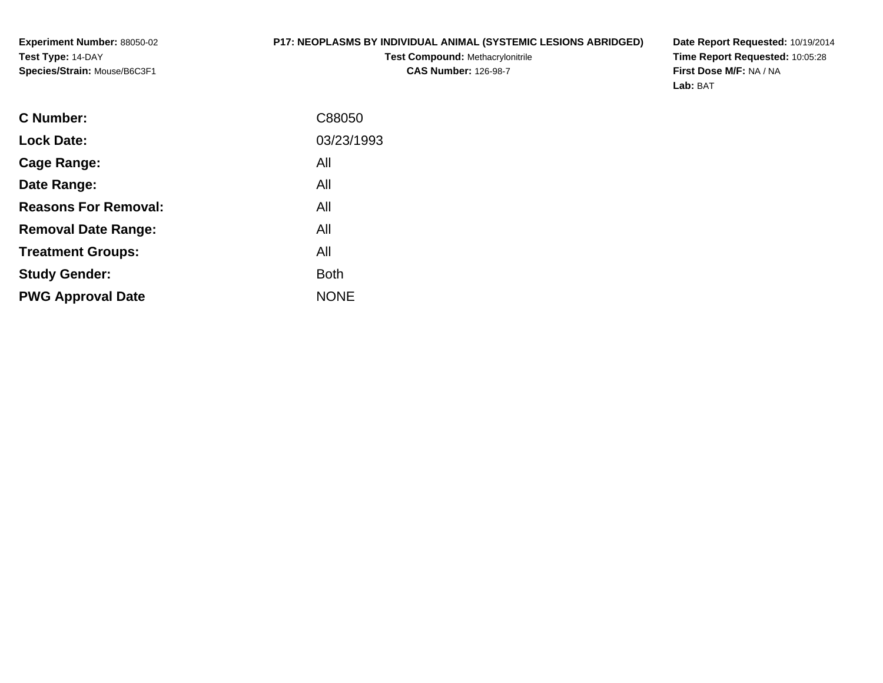# **P17: NEOPLASMS BY INDIVIDUAL ANIMAL (SYSTEMIC LESIONS ABRIDGED)**

**Test Compound:** Methacrylonitrile**CAS Number:** 126-98-7

**Date Report Requested:** 10/19/2014 **Time Report Requested:** 10:05:28**First Dose M/F:** NA / NA**Lab:** BAT

| C88050      |
|-------------|
| 03/23/1993  |
| All         |
| All         |
| All         |
| All         |
| All         |
| <b>Both</b> |
| <b>NONE</b> |
|             |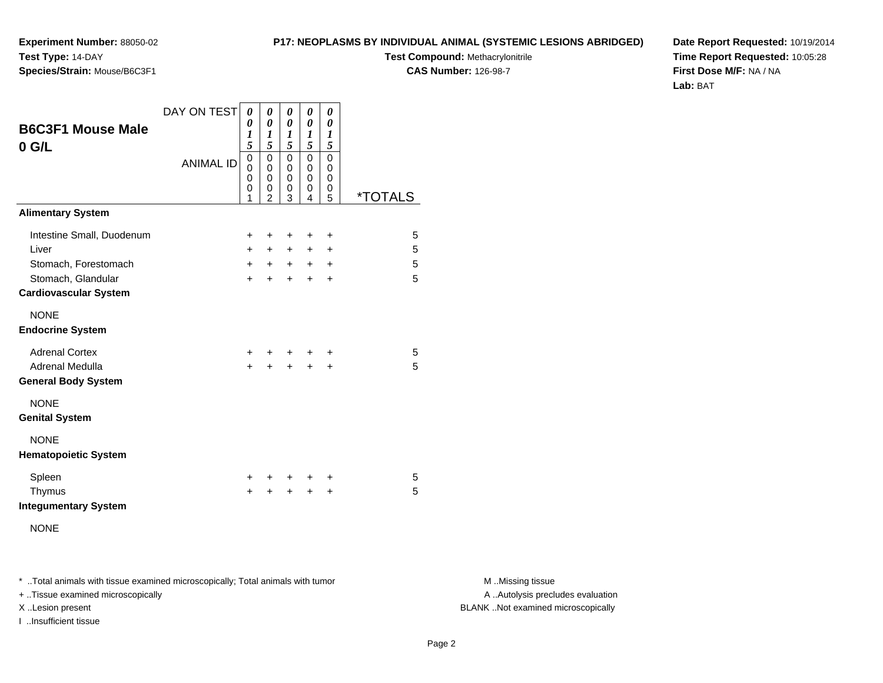**Test Compound:** Methacrylonitrile

**CAS Number:** 126-98-7

**Date Report Requested:** 10/19/2014**Time Report Requested:** 10:05:28**First Dose M/F:** NA / NA**Lab:** BAT

| <b>B6C3F1 Mouse Male</b><br>$0$ G/L        | DAY ON TEST<br><b>ANIMAL ID</b> | 0<br>0<br>1<br>5<br>$\mathbf 0$<br>0<br>0<br>0 | 0<br>$\boldsymbol{\theta}$<br>$\boldsymbol{l}$<br>5<br>$\mathbf 0$<br>$\mathbf 0$<br>0<br>$\mathbf 0$ | 0<br>0<br>1<br>5<br>$\mathbf 0$<br>0<br>$\mathbf 0$<br>0 | 0<br>0<br>$\boldsymbol{l}$<br>5<br>$\mathbf 0$<br>$\mathbf 0$<br>0<br>0 | 0<br>0<br>1<br>5<br>$\mathbf 0$<br>0<br>$\mathbf 0$<br>0 |                       |
|--------------------------------------------|---------------------------------|------------------------------------------------|-------------------------------------------------------------------------------------------------------|----------------------------------------------------------|-------------------------------------------------------------------------|----------------------------------------------------------|-----------------------|
|                                            |                                 | 1                                              | $\overline{2}$                                                                                        | 3                                                        | 4                                                                       | 5                                                        | <i><b>*TOTALS</b></i> |
| <b>Alimentary System</b>                   |                                 |                                                |                                                                                                       |                                                          |                                                                         |                                                          |                       |
| Intestine Small, Duodenum                  |                                 | +                                              | +                                                                                                     | ÷                                                        | ٠                                                                       | $\ddot{}$                                                | 5                     |
| Liver                                      |                                 | $\pm$                                          | $\ddot{}$                                                                                             | $\ddot{}$                                                | $+$                                                                     | $\ddot{}$                                                | 5                     |
| Stomach, Forestomach                       |                                 | $\ddot{}$                                      | $+$                                                                                                   |                                                          | $+$ $+$                                                                 | $\ddot{}$                                                | 5                     |
| Stomach, Glandular                         |                                 | $\ddot{}$                                      | $\ddot{}$                                                                                             | $+$                                                      | $\ddot{}$                                                               | $\ddot{}$                                                | 5                     |
| <b>Cardiovascular System</b>               |                                 |                                                |                                                                                                       |                                                          |                                                                         |                                                          |                       |
| <b>NONE</b><br><b>Endocrine System</b>     |                                 |                                                |                                                                                                       |                                                          |                                                                         |                                                          |                       |
| <b>Adrenal Cortex</b>                      |                                 | ÷                                              | ÷                                                                                                     |                                                          |                                                                         | ÷                                                        | 5                     |
| Adrenal Medulla                            |                                 | +                                              | $\ddot{}$                                                                                             | +                                                        | +                                                                       | +                                                        | 5                     |
| <b>General Body System</b>                 |                                 |                                                |                                                                                                       |                                                          |                                                                         |                                                          |                       |
| <b>NONE</b><br><b>Genital System</b>       |                                 |                                                |                                                                                                       |                                                          |                                                                         |                                                          |                       |
|                                            |                                 |                                                |                                                                                                       |                                                          |                                                                         |                                                          |                       |
| <b>NONE</b><br><b>Hematopoietic System</b> |                                 |                                                |                                                                                                       |                                                          |                                                                         |                                                          |                       |
| Spleen                                     |                                 | +                                              | +                                                                                                     | +                                                        | +                                                                       | +                                                        | 5                     |
| Thymus                                     |                                 | $\ddot{}$                                      | +                                                                                                     | $\pm$                                                    | +                                                                       | +                                                        | 5                     |
| <b>Integumentary System</b>                |                                 |                                                |                                                                                                       |                                                          |                                                                         |                                                          |                       |
| <b>NONE</b>                                |                                 |                                                |                                                                                                       |                                                          |                                                                         |                                                          |                       |

\* ..Total animals with tissue examined microscopically; Total animals with tumor **M** . Missing tissue M ..Missing tissue

+ ..Tissue examined microscopically

**Experiment Number:** 88050-02

**Species/Strain:** Mouse/B6C3F1

**Test Type:** 14-DAY

I ..Insufficient tissue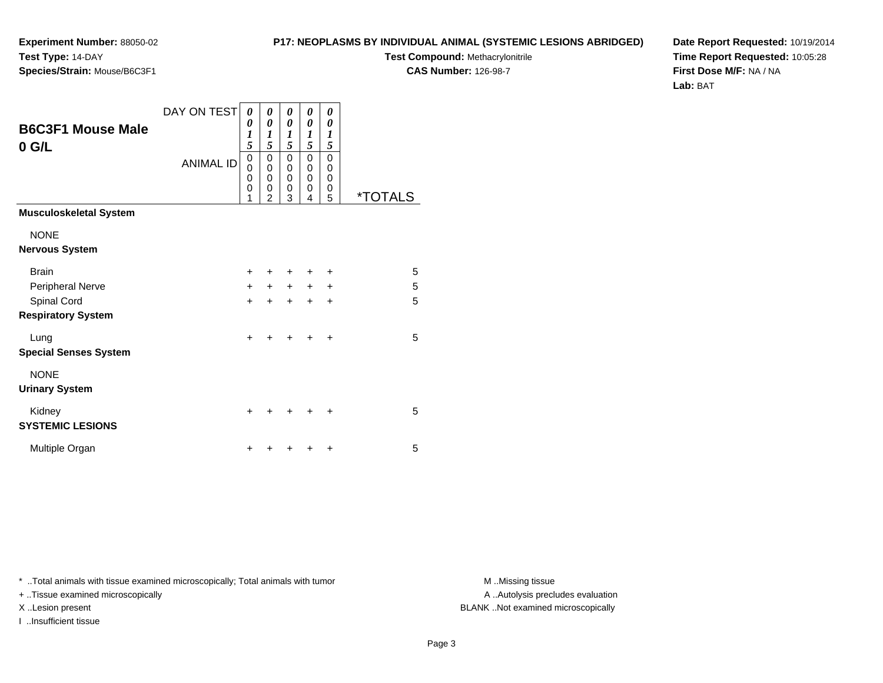**Test Compound:** Methacrylonitrile

**CAS Number:** 126-98-7

**Date Report Requested:** 10/19/2014**Time Report Requested:** 10:05:28**First Dose M/F:** NA / NA**Lab:** BAT

| <b>B6C3F1 Mouse Male</b><br>$0$ G/L  | DAY ON TEST<br><b>ANIMAL ID</b> | 0<br>0<br>$\boldsymbol{l}$<br>5<br>0<br>0<br>0<br>0<br>1 | 0<br>0<br>$\boldsymbol{l}$<br>5<br>$\mathbf 0$<br>0<br>$\mathbf 0$<br>0<br>$\mathcal{P}$ | 0<br>0<br>$\boldsymbol{l}$<br>5<br>0<br>0<br>$\mathbf 0$<br>0<br>3 | 0<br>0<br>$\boldsymbol{l}$<br>5<br>0<br>0<br>0<br>$\mathbf 0$<br>4 | 0<br>0<br>1<br>5<br>0<br>0<br>0<br>0<br>5 | <i><b>*TOTALS</b></i> |
|--------------------------------------|---------------------------------|----------------------------------------------------------|------------------------------------------------------------------------------------------|--------------------------------------------------------------------|--------------------------------------------------------------------|-------------------------------------------|-----------------------|
| <b>Musculoskeletal System</b>        |                                 |                                                          |                                                                                          |                                                                    |                                                                    |                                           |                       |
| <b>NONE</b>                          |                                 |                                                          |                                                                                          |                                                                    |                                                                    |                                           |                       |
| <b>Nervous System</b>                |                                 |                                                          |                                                                                          |                                                                    |                                                                    |                                           |                       |
| <b>Brain</b>                         |                                 | +                                                        |                                                                                          | ÷                                                                  | ٠                                                                  | ÷                                         | 5                     |
| Peripheral Nerve                     |                                 | $+$                                                      | $\ddot{}$                                                                                | $+$                                                                | $\ddot{}$                                                          | $\ddot{}$                                 | 5                     |
| Spinal Cord                          |                                 | $\ddot{}$                                                | $\ddot{}$                                                                                | $\ddot{}$                                                          | $\ddot{}$                                                          | $\ddot{}$                                 | 5                     |
| <b>Respiratory System</b>            |                                 |                                                          |                                                                                          |                                                                    |                                                                    |                                           |                       |
| Lung<br><b>Special Senses System</b> |                                 | $\div$                                                   |                                                                                          | $\div$                                                             | ÷                                                                  | $\ddot{}$                                 | 5                     |
| <b>NONE</b>                          |                                 |                                                          |                                                                                          |                                                                    |                                                                    |                                           |                       |

┯ ┯ ┓

n  $+$ 

 $\mathsf y$ 

\* ..Total animals with tissue examined microscopically; Total animals with tumor **M** ...Missing tissue M ...Missing tissue

+ ..Tissue examined microscopically

**Experiment Number:** 88050-02

**Species/Strain:** Mouse/B6C3F1

**Test Type:** 14-DAY

**Urinary System**

**SYSTEMIC LESIONS**

Multiple Organ

Kidney

I ..Insufficient tissue

A .. Autolysis precludes evaluation X ..Lesion present BLANK ..Not examined microscopically

<sup>+</sup> <sup>+</sup> <sup>+</sup> <sup>+</sup> <sup>5</sup>

<sup>+</sup> <sup>+</sup> <sup>+</sup> <sup>+</sup> <sup>5</sup>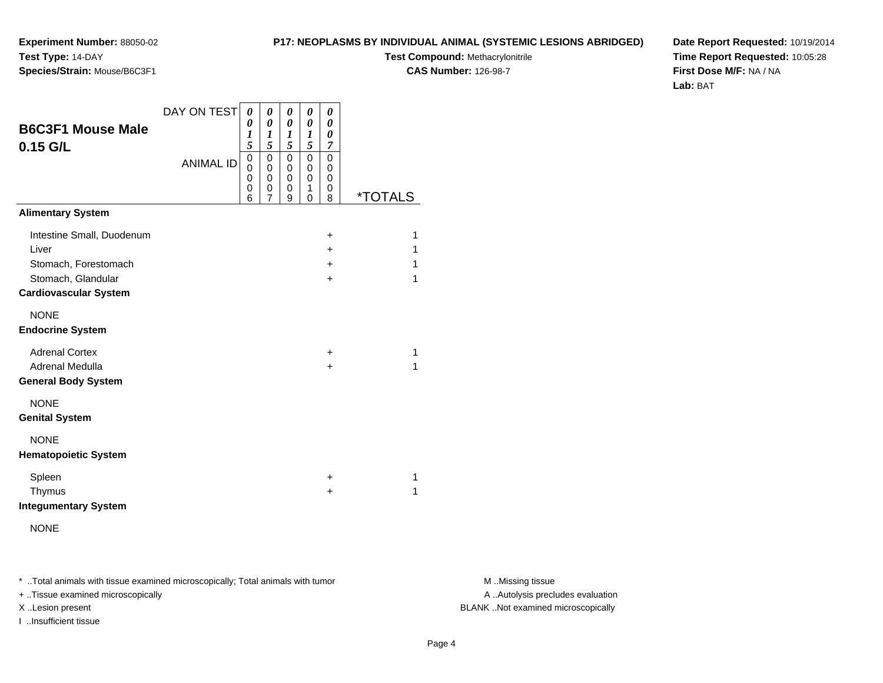**Experiment Number:** 88050-02**Test Type:** 14-DAY**Species/Strain:** Mouse/B6C3F1

**Test Compound:** Methacrylonitrile**CAS Number:** 126-98-7

**Date Report Requested:** 10/19/2014**Time Report Requested:** 10:05:28**First Dose M/F:** NA / NA**Lab:** BAT

| <b>B6C3F1 Mouse Male</b><br>$0.15$ G/L                                                                           | DAY ON TEST<br><b>ANIMAL ID</b> | $\boldsymbol{\theta}$<br>0<br>1<br>5<br>$\mathbf 0$<br>$\Omega$<br>$\mathbf 0$<br>0<br>6 | 0<br>0<br>1<br>5<br>0<br>0<br>0<br>0<br>$\overline{7}$ | 0<br>0<br>$\boldsymbol{l}$<br>5<br>$\mathbf 0$<br>0<br>0<br>0<br>9 | 0<br>0<br>1<br>5<br>0<br>0<br>0<br>1<br>0 | 0<br>0<br>0<br>7<br>0<br>0<br>0<br>0<br>8 | <i><b>*TOTALS</b></i> |
|------------------------------------------------------------------------------------------------------------------|---------------------------------|------------------------------------------------------------------------------------------|--------------------------------------------------------|--------------------------------------------------------------------|-------------------------------------------|-------------------------------------------|-----------------------|
| <b>Alimentary System</b>                                                                                         |                                 |                                                                                          |                                                        |                                                                    |                                           |                                           |                       |
| Intestine Small, Duodenum<br>Liver<br>Stomach, Forestomach<br>Stomach, Glandular<br><b>Cardiovascular System</b> |                                 |                                                                                          |                                                        |                                                                    |                                           | +<br>$\ddot{}$<br>$\ddot{}$<br>$\ddot{}$  | 1<br>1<br>1<br>1      |
| <b>NONE</b><br><b>Endocrine System</b>                                                                           |                                 |                                                                                          |                                                        |                                                                    |                                           |                                           |                       |
| <b>Adrenal Cortex</b><br><b>Adrenal Medulla</b><br><b>General Body System</b>                                    |                                 |                                                                                          |                                                        |                                                                    |                                           | $\ddot{}$<br>+                            | 1<br>1                |
| <b>NONE</b><br><b>Genital System</b>                                                                             |                                 |                                                                                          |                                                        |                                                                    |                                           |                                           |                       |
| <b>NONE</b><br><b>Hematopoietic System</b>                                                                       |                                 |                                                                                          |                                                        |                                                                    |                                           |                                           |                       |
| Spleen<br>Thymus<br><b>Integumentary System</b>                                                                  |                                 |                                                                                          |                                                        |                                                                    |                                           | +<br>$\ddot{}$                            | 1<br>1                |
| <b>NONE</b>                                                                                                      |                                 |                                                                                          |                                                        |                                                                    |                                           |                                           |                       |

\* ..Total animals with tissue examined microscopically; Total animals with tumor **M** . Missing tissue M ..Missing tissue

+ ..Tissue examined microscopically

I ..Insufficient tissue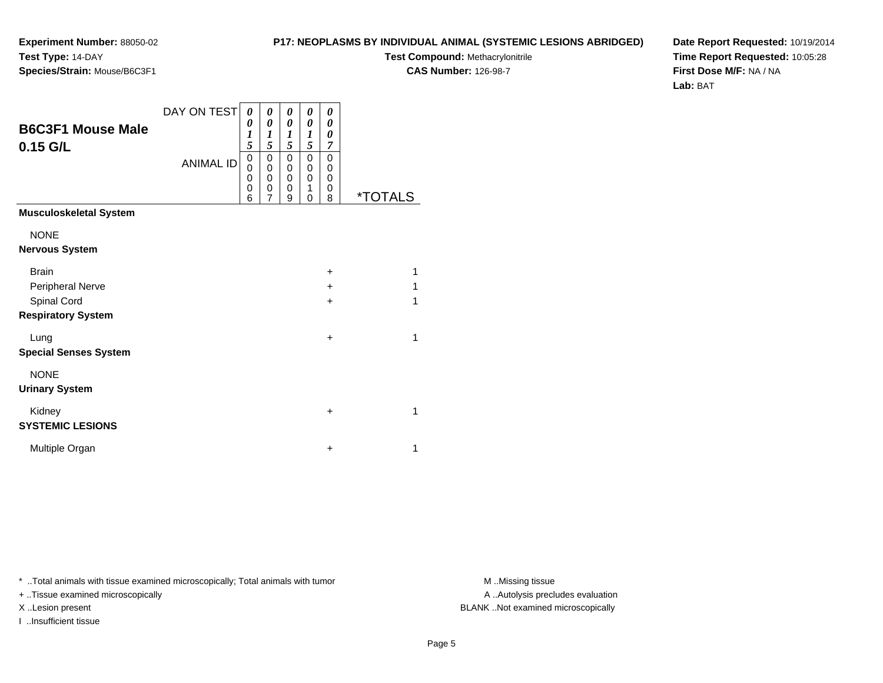**Experiment Number:** 88050-02**Test Type:** 14-DAY**Species/Strain:** Mouse/B6C3F1

## **Test Compound:** Methacrylonitrile**CAS Number:** 126-98-7

**Date Report Requested:** 10/19/2014**Time Report Requested:** 10:05:28**First Dose M/F:** NA / NA**Lab:** BAT

| <b>B6C3F1 Mouse Male</b><br>$0.15$ G/L          | DAY ON TEST<br><b>ANIMAL ID</b> | 0<br>0<br>1<br>5<br>$\mathbf 0$<br>0<br>0<br>$\mathbf 0$<br>6 | 0<br>0<br>$\boldsymbol{l}$<br>5<br>0<br>$\mathbf 0$<br>0<br>$\pmb{0}$<br>$\overline{7}$ | 0<br>0<br>1<br>5<br>$\overline{0}$<br>0<br>$\mathbf 0$<br>0<br>9 | 0<br>0<br>$\boldsymbol{l}$<br>5<br>$\mathbf 0$<br>$\mathbf 0$<br>0<br>1<br>0 | 0<br>0<br>0<br>7<br>$\Omega$<br>$\mathbf 0$<br>0<br>$\mathbf 0$<br>8 | <i><b>*TOTALS</b></i> |
|-------------------------------------------------|---------------------------------|---------------------------------------------------------------|-----------------------------------------------------------------------------------------|------------------------------------------------------------------|------------------------------------------------------------------------------|----------------------------------------------------------------------|-----------------------|
| <b>Musculoskeletal System</b>                   |                                 |                                                               |                                                                                         |                                                                  |                                                                              |                                                                      |                       |
| <b>NONE</b><br><b>Nervous System</b>            |                                 |                                                               |                                                                                         |                                                                  |                                                                              |                                                                      |                       |
| <b>Brain</b><br>Peripheral Nerve<br>Spinal Cord |                                 |                                                               |                                                                                         |                                                                  |                                                                              | $\ddot{}$<br>$\ddot{}$<br>$\ddot{}$                                  | 1<br>1<br>1           |
| <b>Respiratory System</b>                       |                                 |                                                               |                                                                                         |                                                                  |                                                                              |                                                                      |                       |
| Lung<br><b>Special Senses System</b>            |                                 |                                                               |                                                                                         |                                                                  |                                                                              | $\ddot{}$                                                            | 1                     |
| <b>NONE</b><br><b>Urinary System</b>            |                                 |                                                               |                                                                                         |                                                                  |                                                                              |                                                                      |                       |
| Kidney<br><b>SYSTEMIC LESIONS</b>               |                                 |                                                               |                                                                                         |                                                                  |                                                                              | $\ddot{}$                                                            | 1                     |
| Multiple Organ                                  |                                 |                                                               |                                                                                         |                                                                  |                                                                              | $\ddot{}$                                                            | 1                     |

\* ..Total animals with tissue examined microscopically; Total animals with tumor **M** . Missing tissue M ..Missing tissue

+ ..Tissue examined microscopically

I ..Insufficient tissue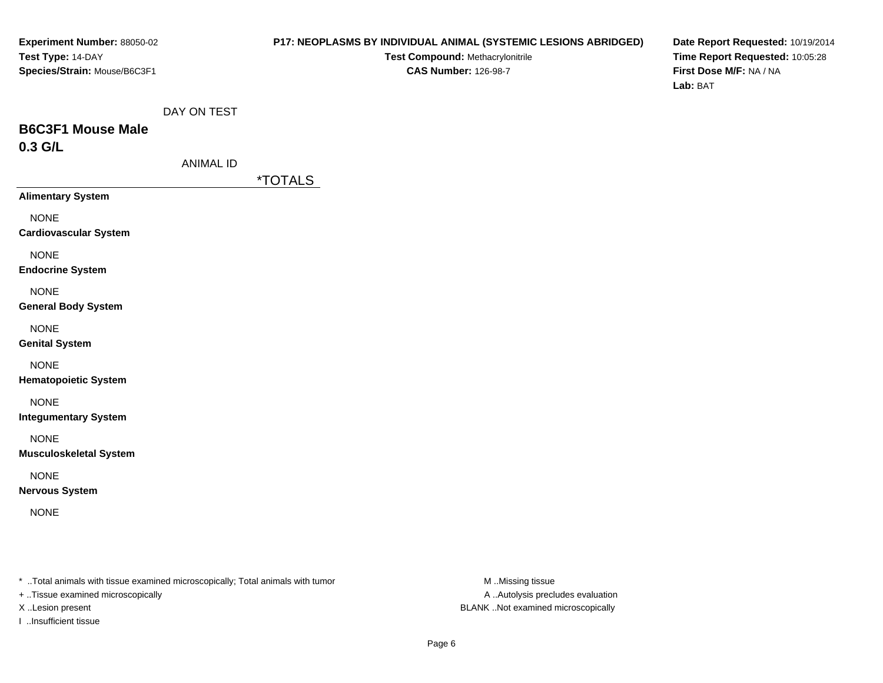## **P17: NEOPLASMS BY INDIVIDUAL ANIMAL (SYSTEMIC LESIONS ABRIDGED)**

**Test Compound:** Methacrylonitrile**CAS Number:** 126-98-7

**Date Report Requested:** 10/19/2014**Time Report Requested:** 10:05:28**First Dose M/F:** NA / NA**Lab:** BAT

|  | DAY ON TEST |
|--|-------------|
|  |             |

# **B6C3F1 Mouse Male0.3 G/L**

ANIMAL ID

\*TOTALS

**Alimentary System**

NONE

**Cardiovascular System**

NONE

**Endocrine System**

NONE

**General Body System**

NONE

**Genital System**

NONE

**Hematopoietic System**

NONE

**Integumentary System**

NONE

**Musculoskeletal System**

NONE

**Nervous System**

NONE

\* ..Total animals with tissue examined microscopically; Total animals with tumor **M** ..Missing tissue M ..Missing tissue

+ ..Tissue examined microscopically

I ..Insufficient tissue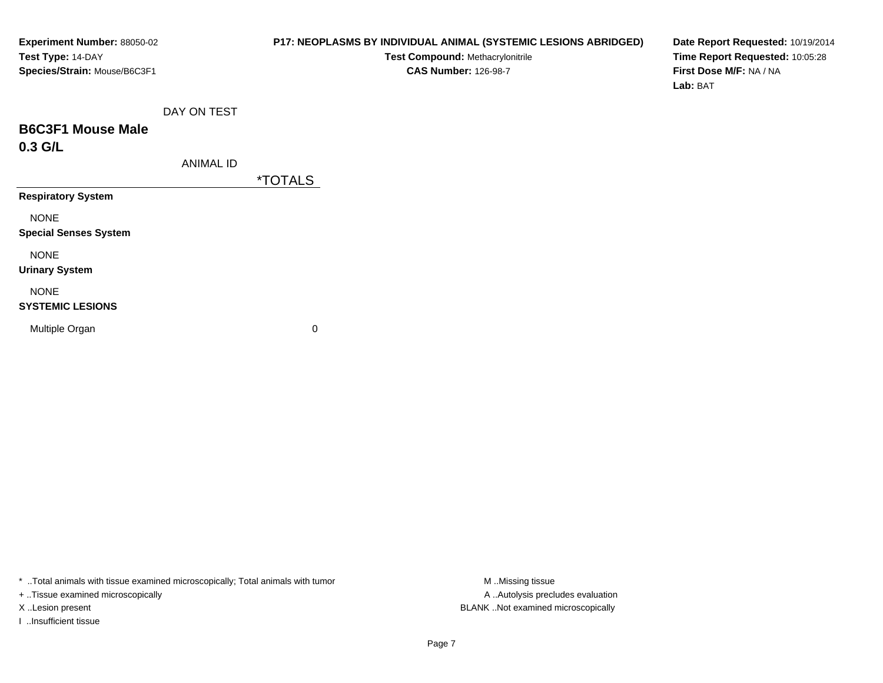| <b>Experiment Number: 88050-02</b> |
|------------------------------------|
| Test Type: 14-DAY                  |
| Species/Strain: Mouse/B6C3F1       |

**Test Compound:** Methacrylonitrile**CAS Number:** 126-98-7

**Date Report Requested:** 10/19/2014**Time Report Requested:** 10:05:28**First Dose M/F:** NA / NA**Lab:** BAT

# **B6C3F1 Mouse Male0.3 G/L**

ANIMAL ID

\*TOTALS

**Respiratory System**

NONE

**Special Senses System**

NONE

**Urinary System**

NONE

### **SYSTEMIC LESIONS**

Multiple Organ

 $\mathbf n$  0

\* ..Total animals with tissue examined microscopically; Total animals with tumor **M** ...Missing tissue M ...Missing tissue

+ ..Tissue examined microscopically

I ..Insufficient tissue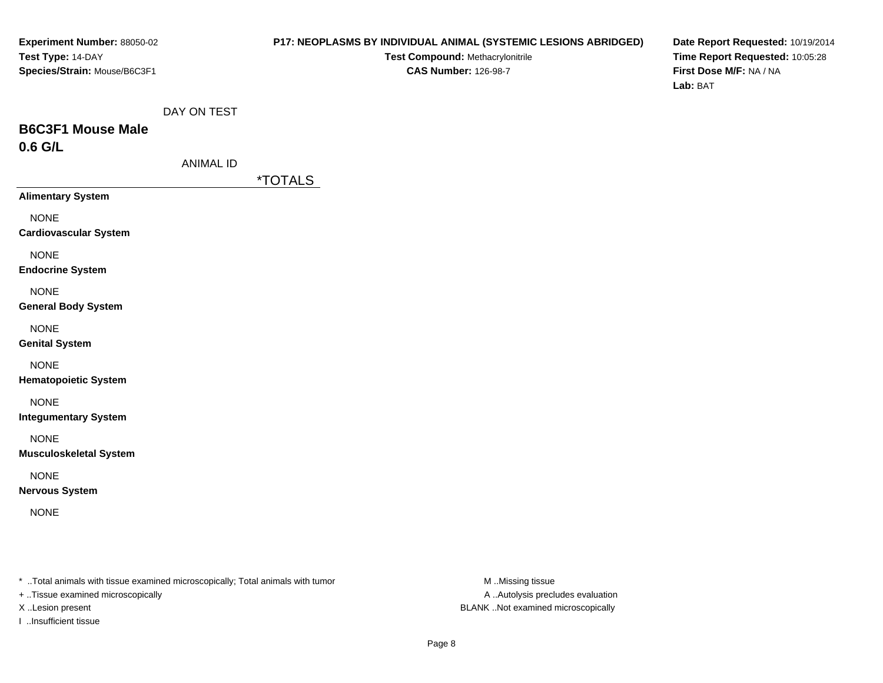## **P17: NEOPLASMS BY INDIVIDUAL ANIMAL (SYSTEMIC LESIONS ABRIDGED)**

**Test Compound:** Methacrylonitrile**CAS Number:** 126-98-7

**Date Report Requested:** 10/19/2014**Time Report Requested:** 10:05:28**First Dose M/F:** NA / NA**Lab:** BAT

| DAY ON TEST |
|-------------|
|             |

# **B6C3F1 Mouse Male0.6 G/L**

| ANIMAL ID |  |  |  |  |  |
|-----------|--|--|--|--|--|
|-----------|--|--|--|--|--|

\*TOTALS

**Alimentary System**

NONE

**Cardiovascular System**

NONE

**Endocrine System**

NONE

**General Body System**

NONE

**Genital System**

NONE

**Hematopoietic System**

NONE

**Integumentary System**

NONE

**Musculoskeletal System**

NONE

**Nervous System**

NONE

\* ..Total animals with tissue examined microscopically; Total animals with tumor **M** ..Missing tissue M ..Missing tissue

+ ..Tissue examined microscopically

I ..Insufficient tissue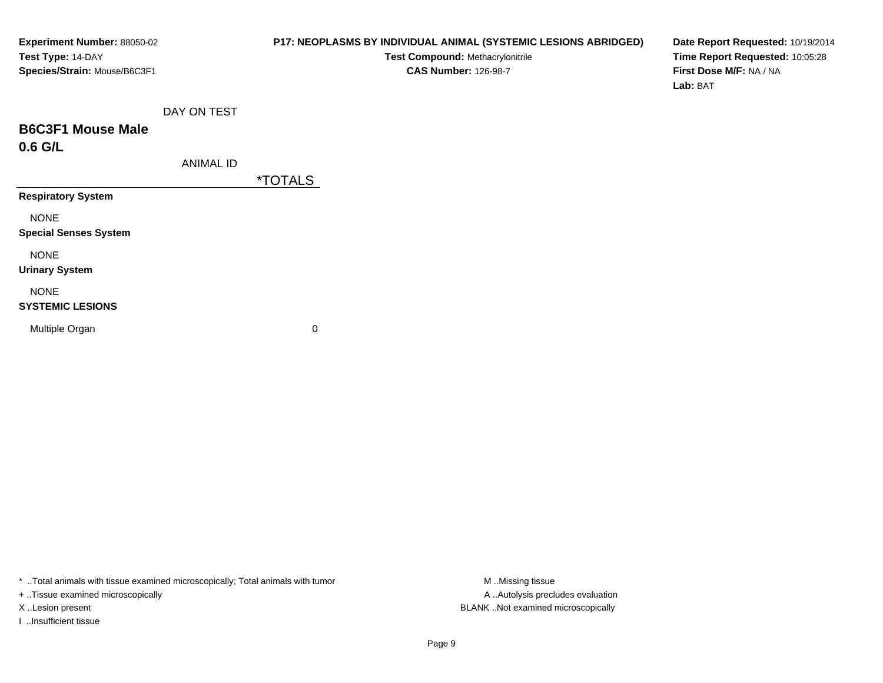| <b>Experiment Number: 88050-02</b> |
|------------------------------------|
| Test Type: 14-DAY                  |
| Species/Strain: Mouse/B6C3F1       |

**Test Compound:** Methacrylonitrile**CAS Number:** 126-98-7

**Date Report Requested:** 10/19/2014**Time Report Requested:** 10:05:28**First Dose M/F:** NA / NA**Lab:** BAT

| DAY ON TEST |
|-------------|
|             |

# **B6C3F1 Mouse Male0.6 G/L**

ANIMAL ID

\*TOTALS

**Respiratory System**

NONE

**Special Senses System**

NONE

**Urinary System**

## NONE

#### **SYSTEMIC LESIONS**

Multiple Organ

 $\mathbf n$  0

\* ..Total animals with tissue examined microscopically; Total animals with tumor **M** ...Missing tissue M ...Missing tissue

+ ..Tissue examined microscopically

I ..Insufficient tissue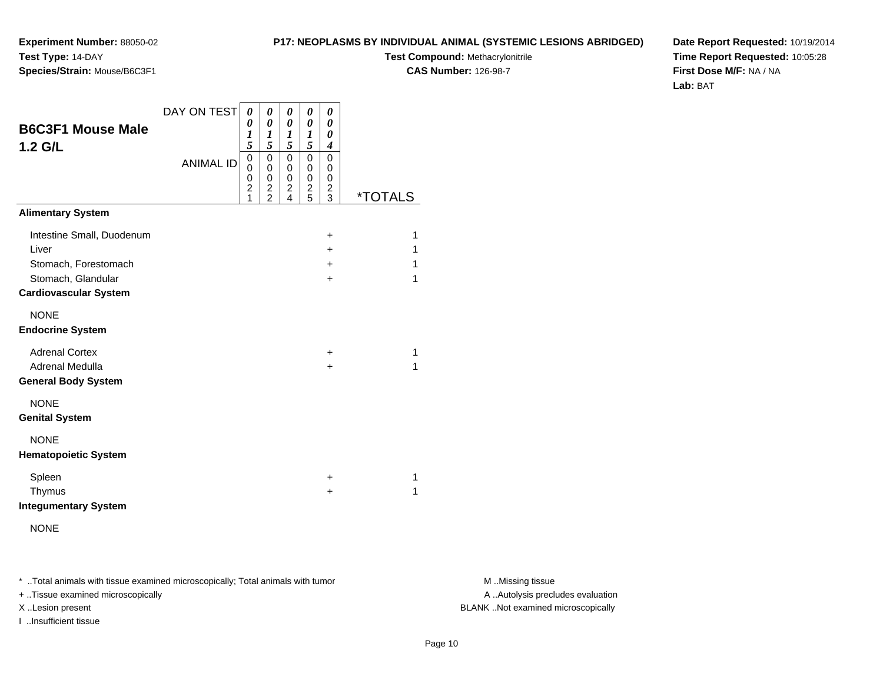**Test Compound:** Methacrylonitrile

**CAS Number:** 126-98-7

**Date Report Requested:** 10/19/2014**Time Report Requested:** 10:05:28**First Dose M/F:** NA / NA**Lab:** BAT

| <b>B6C3F1 Mouse Male</b><br>$1.2$ G/L                                                                            | DAY ON TEST<br><b>ANIMAL ID</b> | 0<br>0<br>1<br>5<br>0<br>0<br>0<br>$\overline{\mathbf{c}}$<br>1 | 0<br>0<br>1<br>5<br>0<br>$\mathbf 0$<br>0<br>$\frac{2}{2}$ | 0<br>0<br>1<br>5<br>$\mathbf 0$<br>0<br>$\mathbf 0$<br>$\frac{2}{4}$ | 0<br>0<br>1<br>5<br>$\mathbf 0$<br>0<br>0<br>$\frac{2}{5}$ | 0<br>0<br>0<br>4<br>$\mathbf 0$<br>0<br>0<br>$\frac{2}{3}$ | <i><b>*TOTALS</b></i> |
|------------------------------------------------------------------------------------------------------------------|---------------------------------|-----------------------------------------------------------------|------------------------------------------------------------|----------------------------------------------------------------------|------------------------------------------------------------|------------------------------------------------------------|-----------------------|
| <b>Alimentary System</b>                                                                                         |                                 |                                                                 |                                                            |                                                                      |                                                            |                                                            |                       |
| Intestine Small, Duodenum<br>Liver<br>Stomach, Forestomach<br>Stomach, Glandular<br><b>Cardiovascular System</b> |                                 |                                                                 |                                                            |                                                                      |                                                            | +<br>$\ddot{}$<br>$\ddot{}$<br>$\ddot{}$                   | 1<br>1<br>1<br>1      |
| <b>NONE</b><br><b>Endocrine System</b>                                                                           |                                 |                                                                 |                                                            |                                                                      |                                                            |                                                            |                       |
| <b>Adrenal Cortex</b><br>Adrenal Medulla<br><b>General Body System</b>                                           |                                 |                                                                 |                                                            |                                                                      |                                                            | $\ddot{}$<br>$\ddot{}$                                     | 1<br>1                |
| <b>NONE</b><br><b>Genital System</b>                                                                             |                                 |                                                                 |                                                            |                                                                      |                                                            |                                                            |                       |
| <b>NONE</b><br><b>Hematopoietic System</b>                                                                       |                                 |                                                                 |                                                            |                                                                      |                                                            |                                                            |                       |
| Spleen<br>Thymus<br><b>Integumentary System</b>                                                                  |                                 |                                                                 |                                                            |                                                                      |                                                            | +<br>$\ddot{}$                                             | 1<br>1                |
| <b>NONE</b>                                                                                                      |                                 |                                                                 |                                                            |                                                                      |                                                            |                                                            |                       |

\* ..Total animals with tissue examined microscopically; Total animals with tumor **M** . Missing tissue M ..Missing tissue

+ ..Tissue examined microscopically

**Experiment Number:** 88050-02

**Species/Strain:** Mouse/B6C3F1

**Test Type:** 14-DAY

I ..Insufficient tissue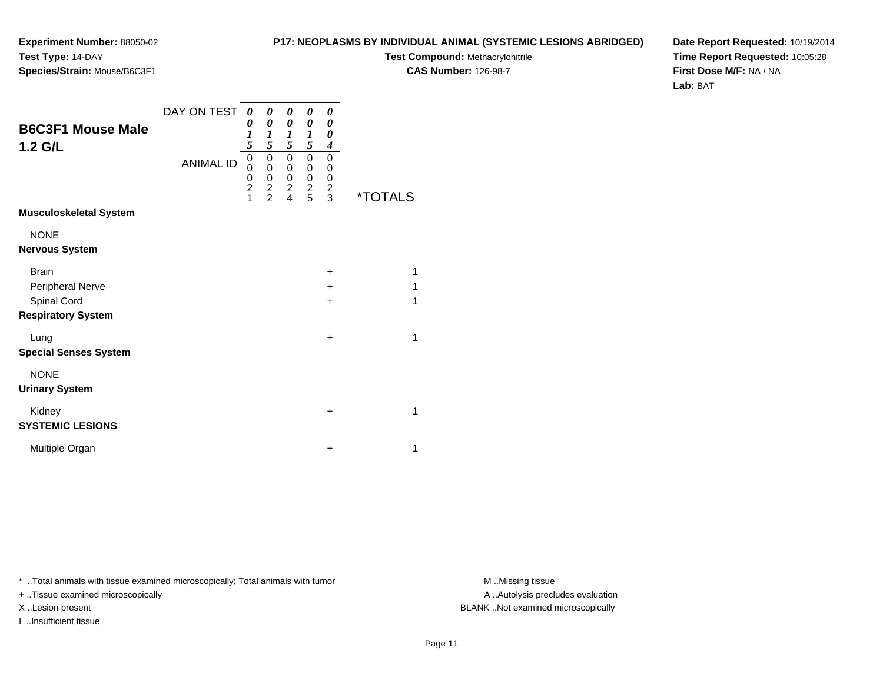**Test Compound:** Methacrylonitrile

**CAS Number:** 126-98-7

**Date Report Requested:** 10/19/2014**Time Report Requested:** 10:05:28**First Dose M/F:** NA / NA**Lab:** BAT

| <b>B6C3F1 Mouse Male</b><br>1.2 G/L | DAY ON TESTI<br><b>ANIMAL ID</b> | 0<br>0<br>$\boldsymbol{l}$<br>5<br>$\mathbf 0$<br>0<br>0<br>$\overline{2}$ | 0<br>$\boldsymbol{\theta}$<br>$\boldsymbol{l}$<br>5<br>$\mathbf 0$<br>$\mathbf 0$<br>$\mathbf 0$<br>$\frac{2}{2}$ | 0<br>0<br>1<br>5<br>$\mathbf 0$<br>0<br>0<br>$\overline{c}$ | 0<br>0<br>1<br>5<br>$\mathbf 0$<br>0<br>0<br>$\frac{2}{5}$ | 0<br>0<br>0<br>4<br>0<br>0<br>0<br>$\frac{2}{3}$ |                       |
|-------------------------------------|----------------------------------|----------------------------------------------------------------------------|-------------------------------------------------------------------------------------------------------------------|-------------------------------------------------------------|------------------------------------------------------------|--------------------------------------------------|-----------------------|
|                                     |                                  | 1                                                                          |                                                                                                                   | 4                                                           |                                                            |                                                  | <i><b>*TOTALS</b></i> |
| <b>Musculoskeletal System</b>       |                                  |                                                                            |                                                                                                                   |                                                             |                                                            |                                                  |                       |
| <b>NONE</b>                         |                                  |                                                                            |                                                                                                                   |                                                             |                                                            |                                                  |                       |
| <b>Nervous System</b>               |                                  |                                                                            |                                                                                                                   |                                                             |                                                            |                                                  |                       |
| <b>Brain</b>                        |                                  |                                                                            |                                                                                                                   |                                                             |                                                            | $+$                                              | 1                     |
| Peripheral Nerve                    |                                  |                                                                            |                                                                                                                   |                                                             |                                                            | $\ddot{}$                                        | 1                     |
| Spinal Cord                         |                                  |                                                                            |                                                                                                                   |                                                             |                                                            | $\ddot{}$                                        | 1                     |
| <b>Respiratory System</b>           |                                  |                                                                            |                                                                                                                   |                                                             |                                                            |                                                  |                       |
| Lung                                |                                  |                                                                            |                                                                                                                   |                                                             |                                                            | $\ddot{}$                                        | 1                     |
| <b>Special Senses System</b>        |                                  |                                                                            |                                                                                                                   |                                                             |                                                            |                                                  |                       |
| <b>NONE</b>                         |                                  |                                                                            |                                                                                                                   |                                                             |                                                            |                                                  |                       |
| <b>Urinary System</b>               |                                  |                                                                            |                                                                                                                   |                                                             |                                                            |                                                  |                       |
| Kidney                              |                                  |                                                                            |                                                                                                                   |                                                             |                                                            | $\ddot{}$                                        | 1                     |
| <b>SYSTEMIC LESIONS</b>             |                                  |                                                                            |                                                                                                                   |                                                             |                                                            |                                                  |                       |
| Multiple Organ                      |                                  |                                                                            |                                                                                                                   |                                                             |                                                            | $\ddot{}$                                        | 1                     |

\* ..Total animals with tissue examined microscopically; Total animals with tumor **M** ...Missing tissue M ...Missing tissue

+ ..Tissue examined microscopically

**Experiment Number:** 88050-02

**Species/Strain:** Mouse/B6C3F1

**Test Type:** 14-DAY

I ..Insufficient tissue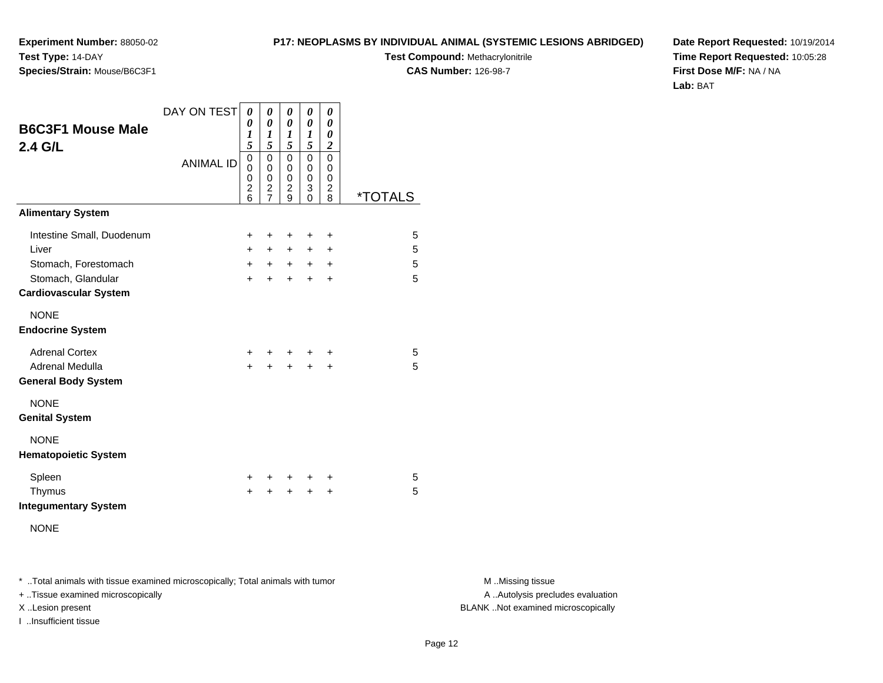**Test Type:** 14-DAY**Species/Strain:** Mouse/B6C3F1

**Experiment Number:** 88050-02

**Test Compound:** Methacrylonitrile**CAS Number:** 126-98-7

**Date Report Requested:** 10/19/2014**Time Report Requested:** 10:05:28**First Dose M/F:** NA / NA**Lab:** BAT

|                                                    | DAY ON TEST      | 0                          | 0                                                                  | 0                                  | 0                                                    | 0                                                             |                       |
|----------------------------------------------------|------------------|----------------------------|--------------------------------------------------------------------|------------------------------------|------------------------------------------------------|---------------------------------------------------------------|-----------------------|
| <b>B6C3F1 Mouse Male</b><br>2.4 G/L                |                  | 0<br>$\boldsymbol{l}$<br>5 | 0<br>1<br>5                                                        | 0<br>1<br>5                        | $\theta$<br>$\boldsymbol{l}$<br>5                    | 0<br>0<br>$\overline{\mathbf{c}}$                             |                       |
|                                                    | <b>ANIMAL ID</b> |                            | $\mathbf 0$<br>0<br>0<br>$\overline{\mathbf{c}}$<br>$\overline{7}$ | 0<br>0<br>0<br>$\overline{c}$<br>9 | 0<br>0<br>0<br>$\ensuremath{\mathsf{3}}$<br>$\Omega$ | $\mathbf 0$<br>0<br>$\boldsymbol{0}$<br>$\boldsymbol{2}$<br>8 | <i><b>*TOTALS</b></i> |
| <b>Alimentary System</b>                           |                  |                            |                                                                    |                                    |                                                      |                                                               |                       |
| Intestine Small, Duodenum                          |                  | $\ddot{}$                  | ÷                                                                  | ÷                                  | +                                                    | $\ddot{}$                                                     | 5                     |
| Liver                                              |                  | $+$                        | $+$                                                                | $+$                                | $\ddot{}$                                            | $\ddot{}$                                                     | 5                     |
| Stomach, Forestomach                               |                  | $+$                        | $+$                                                                | $+$                                | $+$                                                  | $\ddot{}$                                                     | 5                     |
| Stomach, Glandular<br><b>Cardiovascular System</b> |                  | $\ddot{}$                  | $\ddot{}$                                                          | $\ddot{}$                          | $\ddot{}$                                            | $\div$                                                        | 5                     |
| <b>NONE</b><br><b>Endocrine System</b>             |                  |                            |                                                                    |                                    |                                                      |                                                               |                       |
| <b>Adrenal Cortex</b>                              |                  | $\ddot{}$                  |                                                                    | +                                  | ÷                                                    | ÷                                                             | 5                     |
| Adrenal Medulla<br><b>General Body System</b>      |                  | $\ddot{}$                  | +                                                                  | $\ddot{}$                          | $\ddot{}$                                            | +                                                             | 5                     |
| <b>NONE</b><br><b>Genital System</b>               |                  |                            |                                                                    |                                    |                                                      |                                                               |                       |
| <b>NONE</b><br><b>Hematopoietic System</b>         |                  |                            |                                                                    |                                    |                                                      |                                                               |                       |
| Spleen                                             |                  | +                          |                                                                    | +                                  | +                                                    | +                                                             | 5                     |
| Thymus<br><b>Integumentary System</b>              |                  | $\ddot{}$                  | $\ddot{}$                                                          | $\ddot{}$                          | $\ddot{}$                                            | $\ddot{}$                                                     | 5                     |
| <b>NONE</b>                                        |                  |                            |                                                                    |                                    |                                                      |                                                               |                       |

\* ..Total animals with tissue examined microscopically; Total animals with tumor **M** . Missing tissue M ..Missing tissue

+ ..Tissue examined microscopically

I ..Insufficient tissue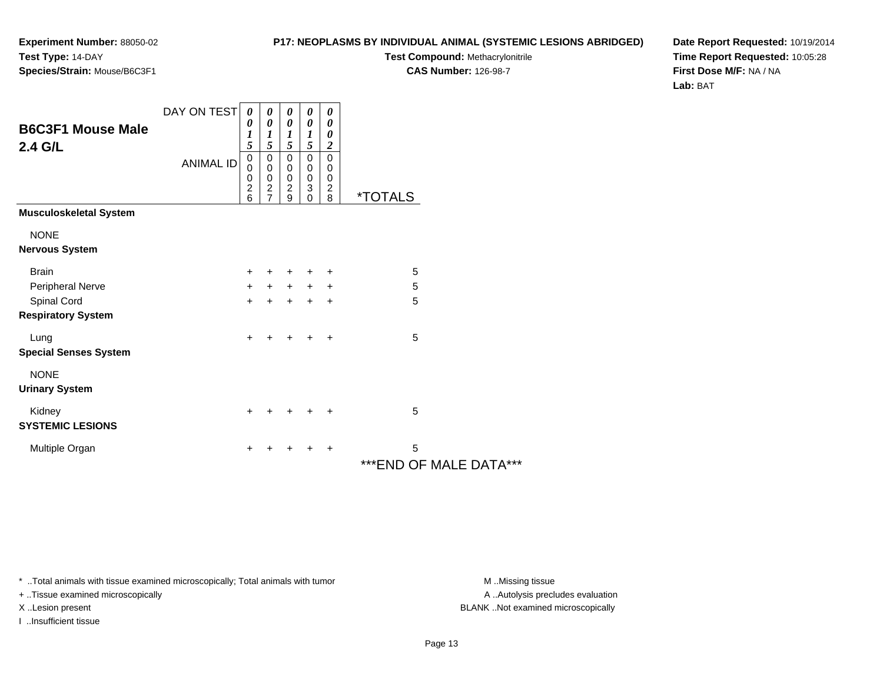**Test Compound:** Methacrylonitrile

**CAS Number:** 126-98-7

**Date Report Requested:** 10/19/2014**Time Report Requested:** 10:05:28**First Dose M/F:** NA / NA**Lab:** BAT

A ..Autolysis precludes evaluation

**B6C3F1 Mouse Male2.4 G/L**ANIMAL ID *0 1 5* 0 0 0 2 6 *0 1 5*0<br>0<br>0<br>2<br>7 *0 1 5* 0 0 0 2 9 *0 1 5* 0 0 0 3 0 *0 0 2* 0 0 0 2 8 \*TOTALS**Musculoskeletal SystemNONE Nervous System**Brainn  $+$  <sup>+</sup> <sup>+</sup> <sup>+</sup> <sup>+</sup> <sup>5</sup> Peripheral Nervee + <sup>+</sup> <sup>+</sup> <sup>+</sup> <sup>+</sup> <sup>5</sup> Spinal Cord $\alpha$  + <sup>+</sup> <sup>+</sup> <sup>+</sup> <sup>+</sup> <sup>5</sup> **Respiratory System**Lungg  $\rightarrow$  <sup>+</sup> <sup>+</sup> <sup>+</sup> <sup>+</sup> <sup>5</sup> **Special Senses System**NONE **Urinary System**Kidney $\mathsf y$  <sup>+</sup> <sup>+</sup> <sup>+</sup> <sup>+</sup> <sup>5</sup> **SYSTEMIC LESIONS**Multiple Organn  $+$ <sup>+</sup> <sup>+</sup> <sup>+</sup> <sup>+</sup> <sup>5</sup>

*0*

*0*

*0*

*0*

*0*

DAY ON TEST

\*\*\*END OF MALE DATA\*\*\*

\* ..Total animals with tissue examined microscopically; Total animals with tumor **M** ..Missing tissue M ..Missing tissue

+ ..Tissue examined microscopically

X ..Lesion present BLANK ..Not examined microscopically

I ..Insufficient tissue

**Experiment Number:** 88050-02**Test Type:** 14-DAY**Species/Strain:** Mouse/B6C3F1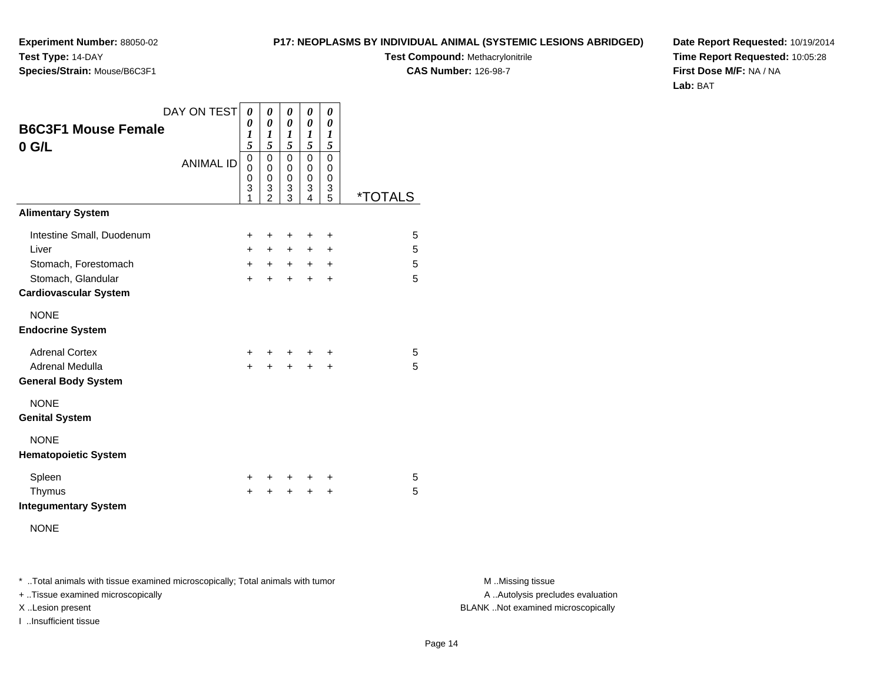**Test Compound:** Methacrylonitrile

**CAS Number:** 126-98-7

**Date Report Requested:** 10/19/2014**Time Report Requested:** 10:05:28**First Dose M/F:** NA / NA**Lab:** BAT

| <b>B6C3F1 Mouse Female</b>                                                                                       | DAY ON TEST      | 0<br>0<br>1                             | 0<br>0<br>1                                                 | 0<br>0<br>1                                 | 0<br>0<br>1                          | 0<br>0<br>1                              |                       |
|------------------------------------------------------------------------------------------------------------------|------------------|-----------------------------------------|-------------------------------------------------------------|---------------------------------------------|--------------------------------------|------------------------------------------|-----------------------|
| $0$ G/L                                                                                                          | <b>ANIMAL ID</b> | 5<br>$\overline{0}$<br>0<br>0<br>3<br>1 | 5<br>$\mathbf 0$<br>$\mathbf 0$<br>0<br>3<br>$\mathfrak{p}$ | 5<br>$\mathbf 0$<br>$\Omega$<br>0<br>3<br>3 | 5<br>$\mathbf 0$<br>0<br>0<br>3<br>4 | 5<br>$\mathbf 0$<br>0<br>0<br>3<br>5     | <i><b>*TOTALS</b></i> |
| <b>Alimentary System</b>                                                                                         |                  |                                         |                                                             |                                             |                                      |                                          |                       |
| Intestine Small, Duodenum<br>Liver<br>Stomach, Forestomach<br>Stomach, Glandular<br><b>Cardiovascular System</b> |                  | $\ddot{}$<br>$+$<br>$+$<br>$+$          | +<br>$+$<br>$+$<br>$+$                                      | $\ddot{}$<br>$+$<br>$+$<br>$+$              | +<br>$\ddot{}$<br>$+$<br>$\ddot{}$   | +<br>$\ddot{}$<br>$\ddot{}$<br>$\ddot{}$ | 5<br>5<br>5<br>5      |
| <b>NONE</b><br><b>Endocrine System</b>                                                                           |                  |                                         |                                                             |                                             |                                      |                                          |                       |
| <b>Adrenal Cortex</b><br>Adrenal Medulla<br><b>General Body System</b>                                           |                  | +<br>$\pm$                              | +                                                           | $\ddot{}$                                   | $\ddot{}$                            | +<br>$\ddot{}$                           | 5<br>5                |
| <b>NONE</b><br><b>Genital System</b>                                                                             |                  |                                         |                                                             |                                             |                                      |                                          |                       |
| <b>NONE</b><br><b>Hematopoietic System</b>                                                                       |                  |                                         |                                                             |                                             |                                      |                                          |                       |
| Spleen<br>Thymus<br><b>Integumentary System</b>                                                                  |                  | ٠<br>$\ddot{}$                          | +                                                           | ÷                                           | ÷<br>$\ddot{}$                       | ÷<br>$\ddot{}$                           | 5<br>5                |
| <b>NONE</b>                                                                                                      |                  |                                         |                                                             |                                             |                                      |                                          |                       |

\* ..Total animals with tissue examined microscopically; Total animals with tumor **M** . Missing tissue M ..Missing tissue

+ ..Tissue examined microscopically

**Experiment Number:** 88050-02

**Species/Strain:** Mouse/B6C3F1

**Test Type:** 14-DAY

I ..Insufficient tissue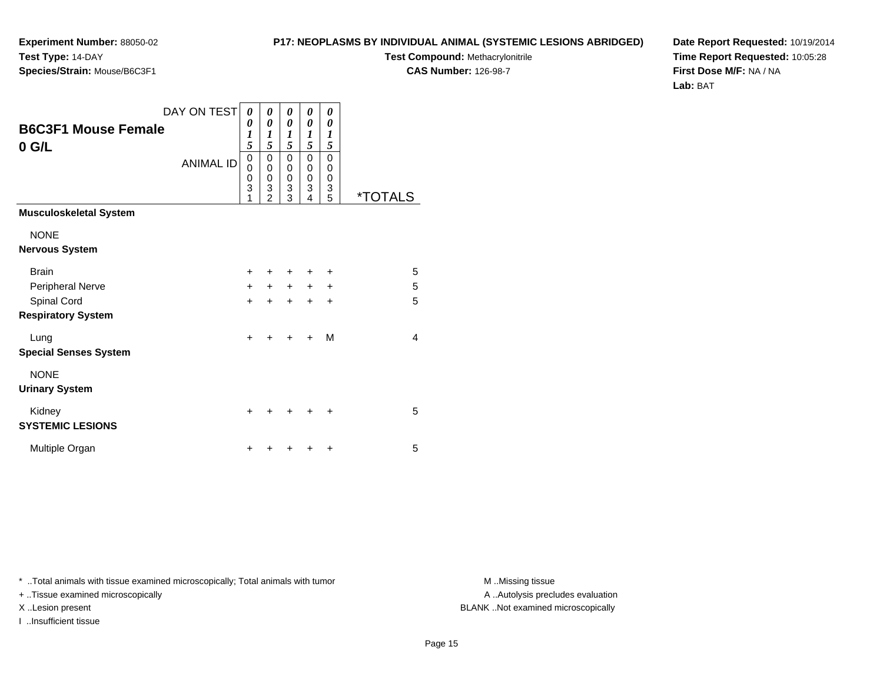**Test Compound:** Methacrylonitrile

**CAS Number:** 126-98-7

**Date Report Requested:** 10/19/2014**Time Report Requested:** 10:05:28**First Dose M/F:** NA / NA**Lab:** BAT

|                                          | DAY ON TESTI     | 0                                | 0                                                              | 0                                      | 0                                  | 0                               |                       |
|------------------------------------------|------------------|----------------------------------|----------------------------------------------------------------|----------------------------------------|------------------------------------|---------------------------------|-----------------------|
| <b>B6C3F1 Mouse Female</b><br>0 G/L      |                  | 0<br>1<br>5                      | $\pmb{\theta}$<br>$\boldsymbol{l}$<br>5                        | 0<br>$\boldsymbol{l}$<br>5             | 0<br>1<br>5                        | 0<br>1<br>5                     |                       |
|                                          | <b>ANIMAL ID</b> | 0<br>$\mathbf{0}$<br>0<br>3<br>1 | 0<br>$\mathbf 0$<br>$\begin{array}{c} 0 \\ 3 \\ 2 \end{array}$ | 0<br>0<br>$\mathbf 0$<br>$\frac{3}{3}$ | 0<br>0<br>0<br>$\overline{3}$<br>4 | $\mathbf 0$<br>0<br>0<br>3<br>5 | <i><b>*TOTALS</b></i> |
| Musculoskeletal System                   |                  |                                  |                                                                |                                        |                                    |                                 |                       |
| <b>NONE</b><br>Nervous System            |                  |                                  |                                                                |                                        |                                    |                                 |                       |
| <b>Brain</b>                             |                  | $\ddot{}$                        | $\ddot{}$                                                      | ٠                                      |                                    | ٠                               | 5                     |
| Peripheral Nerve                         |                  | $\ddot{}$                        | $\ddot{}$                                                      | $\ddot{}$                              | $\ddot{}$                          | $\ddot{}$                       | 5                     |
| Spinal Cord<br><b>Respiratory System</b> |                  | $\ddot{}$                        | $\ddot{}$                                                      | $\ddot{}$                              | $\ddot{}$                          | +                               | 5                     |
| Lung<br><b>Special Senses System</b>     |                  | $\ddot{}$                        | +                                                              | +                                      | +                                  | M                               | 4                     |
| <b>NONE</b><br><b>Urinary System</b>     |                  |                                  |                                                                |                                        |                                    |                                 |                       |
| Kidney<br><b>SYSTEMIC LESIONS</b>        |                  | $\ddot{}$                        |                                                                |                                        |                                    | ٠                               | 5                     |
| Multiple Organ                           |                  | $\ddot{}$                        | +                                                              | +                                      | ٠                                  | +                               | 5                     |

\* ..Total animals with tissue examined microscopically; Total animals with tumor **M** . Missing tissue M ..Missing tissue

n  $+$ 

+ ..Tissue examined microscopically

**Experiment Number:** 88050-02

**Species/Strain:** Mouse/B6C3F1

**Test Type:** 14-DAY

I ..Insufficient tissue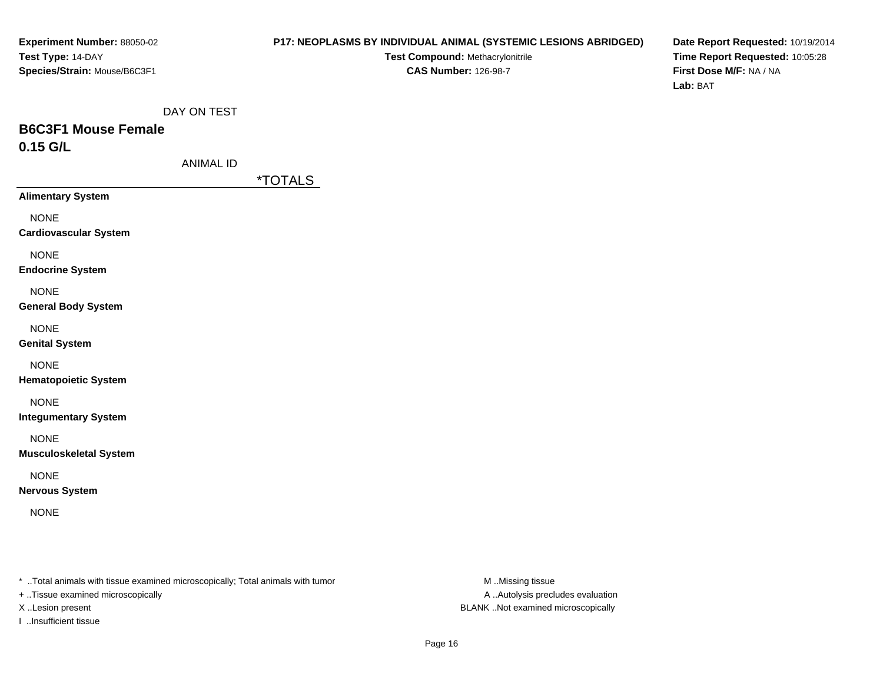## **P17: NEOPLASMS BY INDIVIDUAL ANIMAL (SYSTEMIC LESIONS ABRIDGED)**

**Test Compound:** Methacrylonitrile**CAS Number:** 126-98-7

**Date Report Requested:** 10/19/2014**Time Report Requested:** 10:05:28**First Dose M/F:** NA / NA**Lab:** BAT

DAY ON TEST

# **B6C3F1 Mouse Female0.15 G/L**

ANIMAL ID

\*TOTALS

**Alimentary System**

NONE

**Cardiovascular System**

NONE

**Endocrine System**

NONE

**General Body System**

NONE

**Genital System**

NONE

**Hematopoietic System**

NONE

**Integumentary System**

NONE

**Musculoskeletal System**

NONE

**Nervous System**

NONE

\* ..Total animals with tissue examined microscopically; Total animals with tumor **M** ..Missing tissue M ..Missing tissue

+ ..Tissue examined microscopically

I ..Insufficient tissue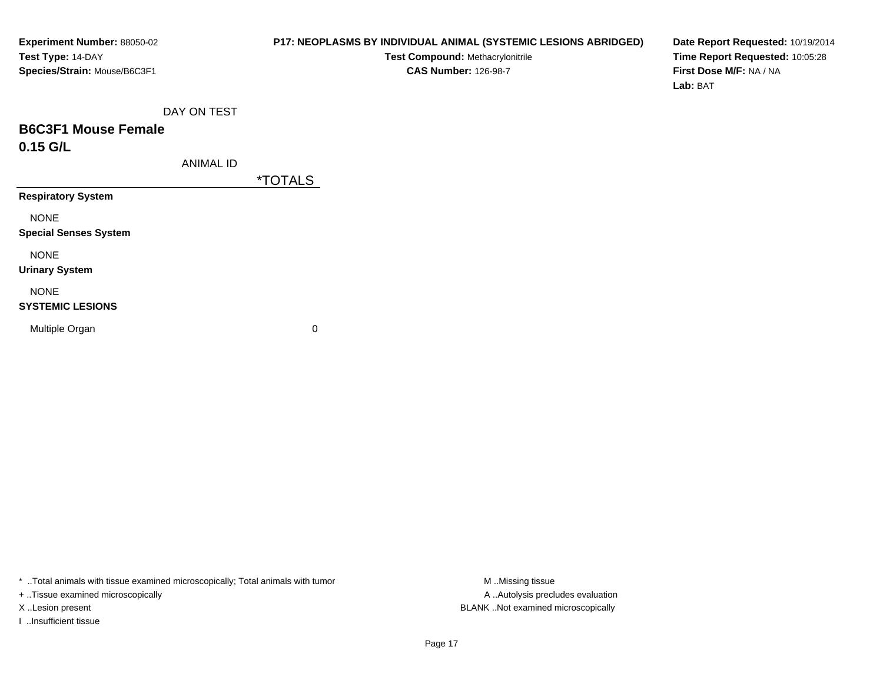## **P17: NEOPLASMS BY INDIVIDUAL ANIMAL (SYSTEMIC LESIONS ABRIDGED)**

**Test Compound:** Methacrylonitrile**CAS Number:** 126-98-7

**Date Report Requested:** 10/19/2014**Time Report Requested:** 10:05:28**First Dose M/F:** NA / NA**Lab:** BAT

DAY ON TEST

# **B6C3F1 Mouse Female0.15 G/L**

ANIMAL ID

\*TOTALS

**Respiratory System**

NONE

**Special Senses System**

NONE

**Urinary System**

NONE

#### **SYSTEMIC LESIONS**

Multiple Organ

 $\mathbf n$  0

\* ..Total animals with tissue examined microscopically; Total animals with tumor **M** ..Missing tissue M ..Missing tissue

+ ..Tissue examined microscopically

I ..Insufficient tissue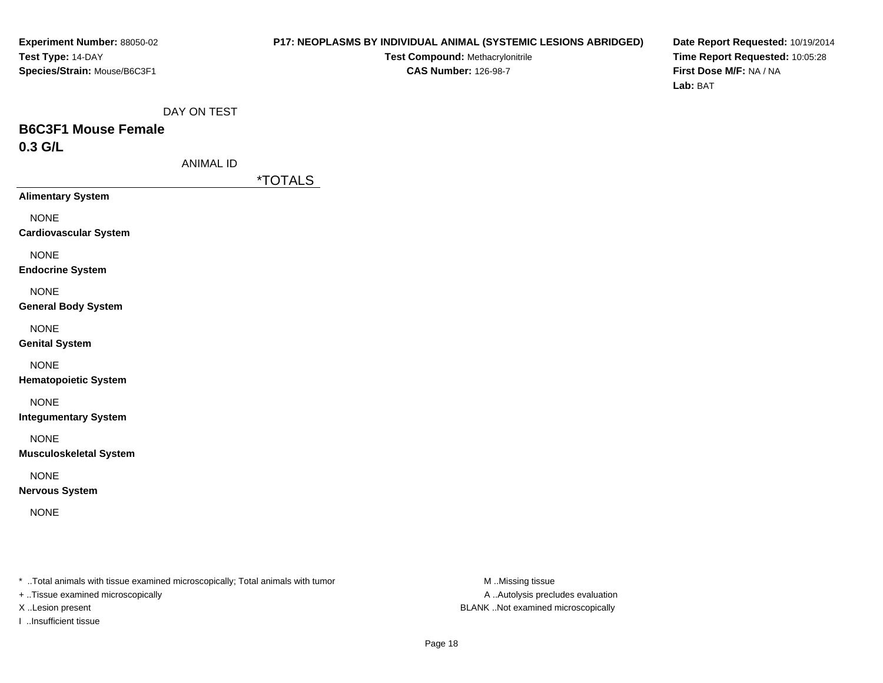## **P17: NEOPLASMS BY INDIVIDUAL ANIMAL (SYSTEMIC LESIONS ABRIDGED)**

**Test Compound:** Methacrylonitrile**CAS Number:** 126-98-7

**Date Report Requested:** 10/19/2014**Time Report Requested:** 10:05:28**First Dose M/F:** NA / NA**Lab:** BAT

DAY ON TEST

# **B6C3F1 Mouse Female0.3 G/L**

ANIMAL ID

\*TOTALS

**Alimentary System**

NONE

**Cardiovascular System**

NONE

**Endocrine System**

NONE

**General Body System**

NONE

**Genital System**

NONE

**Hematopoietic System**

NONE

**Integumentary System**

NONE

**Musculoskeletal System**

NONE

**Nervous System**

NONE

\* ..Total animals with tissue examined microscopically; Total animals with tumor **M** ..Missing tissue M ..Missing tissue

+ ..Tissue examined microscopically

I ..Insufficient tissue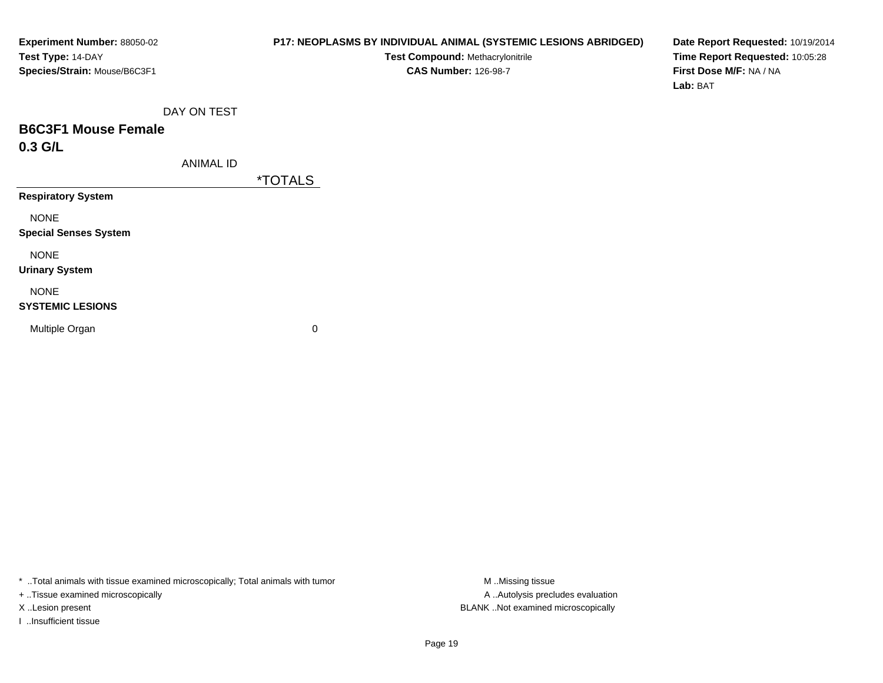## **P17: NEOPLASMS BY INDIVIDUAL ANIMAL (SYSTEMIC LESIONS ABRIDGED)**

**Test Compound:** Methacrylonitrile**CAS Number:** 126-98-7

**Date Report Requested:** 10/19/2014**Time Report Requested:** 10:05:28**First Dose M/F:** NA / NA**Lab:** BAT

DAY ON TEST

# **B6C3F1 Mouse Female0.3 G/L**

ANIMAL ID

\*TOTALS

**Respiratory System**

NONE

**Special Senses System**

NONE

**Urinary System**

NONE

#### **SYSTEMIC LESIONS**

Multiple Organ

 $\mathbf n$  0

\* ..Total animals with tissue examined microscopically; Total animals with tumor **M** ..Missing tissue M ..Missing tissue

+ ..Tissue examined microscopically

I ..Insufficient tissue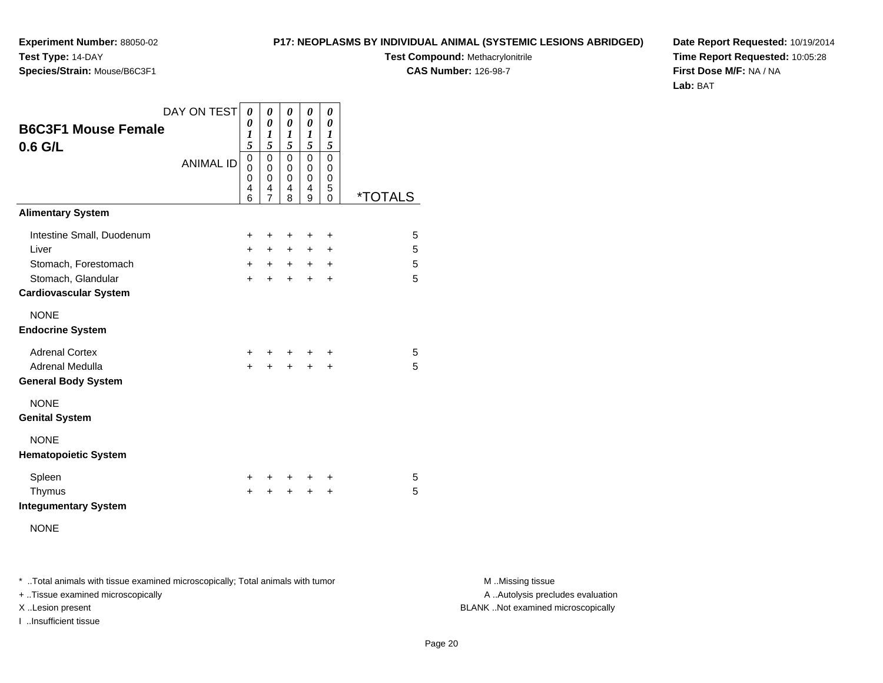**Experiment Number:** 88050-02**Test Type:** 14-DAY**Species/Strain:** Mouse/B6C3F1

**Test Compound:** Methacrylonitrile**CAS Number:** 126-98-7

**Date Report Requested:** 10/19/2014**Time Report Requested:** 10:05:28**First Dose M/F:** NA / NA**Lab:** BAT

| <b>B6C3F1 Mouse Female</b><br>0.6 G/L                                                                            | DAY ON TEST<br><b>ANIMAL ID</b> | 0<br>0<br>$\boldsymbol{l}$<br>5<br>$\mathbf 0$<br>$\mathbf 0$<br>0<br>$\overline{4}$<br>6 | 0<br>$\boldsymbol{\theta}$<br>1<br>5<br>0<br>0<br>0<br>4<br>$\overline{7}$ | 0<br>$\boldsymbol{\theta}$<br>1<br>5<br>$\mathbf 0$<br>0<br>0<br>4<br>8 | 0<br>0<br>1<br>5<br>$\mathbf 0$<br>0<br>0<br>4<br>9 | 0<br>0<br>1<br>5<br>$\mathbf 0$<br>0<br>0<br>5<br>$\Omega$ | <i><b>*TOTALS</b></i> |
|------------------------------------------------------------------------------------------------------------------|---------------------------------|-------------------------------------------------------------------------------------------|----------------------------------------------------------------------------|-------------------------------------------------------------------------|-----------------------------------------------------|------------------------------------------------------------|-----------------------|
| <b>Alimentary System</b>                                                                                         |                                 |                                                                                           |                                                                            |                                                                         |                                                     |                                                            |                       |
| Intestine Small, Duodenum<br>Liver<br>Stomach, Forestomach<br>Stomach, Glandular<br><b>Cardiovascular System</b> |                                 | $\ddot{}$<br>$+$<br>$+$<br>$\ddot{}$                                                      | +<br>$+$<br>$+$<br>$\ddot{}$                                               | +<br>$+$<br>$+$<br>$\ddot{}$                                            | +<br>$\pm$<br>$+$<br>$\ddot{}$                      | +<br>$\ddot{}$<br>$\ddot{}$<br>$\ddot{}$                   | 5<br>5<br>5<br>5      |
| <b>NONE</b><br><b>Endocrine System</b>                                                                           |                                 |                                                                                           |                                                                            |                                                                         |                                                     |                                                            |                       |
| <b>Adrenal Cortex</b><br>Adrenal Medulla<br><b>General Body System</b>                                           |                                 | ÷.<br>$\ddot{}$                                                                           | $\ddot{}$                                                                  | $\ddot{}$                                                               | $\ddot{}$                                           | ÷<br>$\ddot{}$                                             | 5<br>5                |
| <b>NONE</b><br><b>Genital System</b>                                                                             |                                 |                                                                                           |                                                                            |                                                                         |                                                     |                                                            |                       |
| <b>NONE</b><br><b>Hematopoietic System</b>                                                                       |                                 |                                                                                           |                                                                            |                                                                         |                                                     |                                                            |                       |
| Spleen<br>Thymus<br><b>Integumentary System</b><br><b>NONE</b>                                                   |                                 | $\ddot{}$<br>$\ddot{}$                                                                    | ٠                                                                          | +<br>$\ddot{}$                                                          | $\pm$<br>$\ddot{}$                                  | ÷<br>$\ddot{}$                                             | 5<br>5                |

\* ..Total animals with tissue examined microscopically; Total animals with tumor **M** . Missing tissue M ..Missing tissue

+ ..Tissue examined microscopically

I ..Insufficient tissue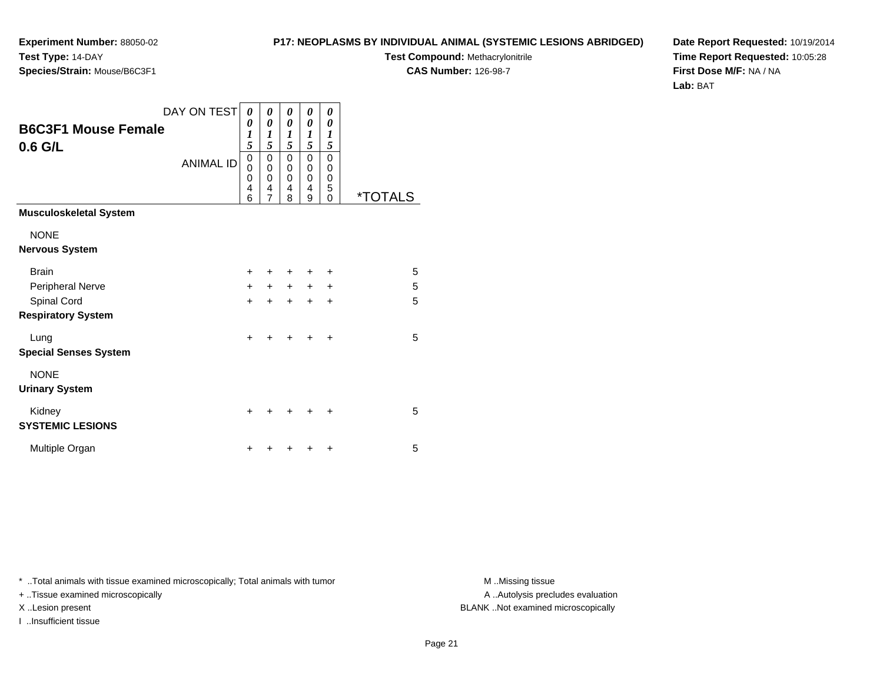**Experiment Number:** 88050-02**Test Type:** 14-DAY**Species/Strain:** Mouse/B6C3F1

**Test Compound:** Methacrylonitrile**CAS Number:** 126-98-7

**Date Report Requested:** 10/19/2014**Time Report Requested:** 10:05:28**First Dose M/F:** NA / NA**Lab:** BAT

| <b>B6C3F1 Mouse Female</b>               | DAY ON TEST      | 0<br>0<br>1                             | 0<br>0<br>1                          | 0<br>0<br>1                | 0<br>0<br>1                                              | 0<br>0<br>1                                        |                       |
|------------------------------------------|------------------|-----------------------------------------|--------------------------------------|----------------------------|----------------------------------------------------------|----------------------------------------------------|-----------------------|
| $0.6$ G/L                                | <b>ANIMAL ID</b> | 5<br>0<br>$\overline{0}$<br>0<br>4<br>6 | 5<br>0<br>$\mathbf 0$<br>0<br>4<br>7 | 5<br>0<br>0<br>0<br>4<br>8 | 5<br>$\mathbf 0$<br>$\mathbf 0$<br>$\mathbf 0$<br>4<br>9 | 5<br>0<br>0<br>0<br>$\overline{5}$<br>$\mathbf{0}$ | <i><b>*TOTALS</b></i> |
| <b>Musculoskeletal System</b>            |                  |                                         |                                      |                            |                                                          |                                                    |                       |
| <b>NONE</b><br><b>Nervous System</b>     |                  |                                         |                                      |                            |                                                          |                                                    |                       |
| <b>Brain</b>                             |                  | $\ddot{}$                               |                                      | ٠                          | +                                                        | ÷                                                  | 5                     |
| Peripheral Nerve                         |                  | $+$                                     | $+$                                  | $\ddot{}$                  | $+$                                                      | $\ddot{}$                                          | 5                     |
| Spinal Cord<br><b>Respiratory System</b> |                  | $\ddot{}$                               |                                      | $\ddot{}$                  | $\ddot{}$                                                | $\ddot{}$                                          | 5                     |
| Lung<br><b>Special Senses System</b>     |                  | $\ddot{}$                               |                                      | ÷                          | ÷                                                        | +                                                  | 5                     |
| <b>NONE</b><br><b>Urinary System</b>     |                  |                                         |                                      |                            |                                                          |                                                    |                       |
| Kidney<br><b>SYSTEMIC LESIONS</b>        |                  | +                                       |                                      | +                          | ┿                                                        | +                                                  | 5                     |
| Multiple Organ                           |                  | +                                       |                                      |                            |                                                          | $\ddot{}$                                          | 5                     |

\* ..Total animals with tissue examined microscopically; Total animals with tumor **M** . Missing tissue M ..Missing tissue

+ ..Tissue examined microscopically

I ..Insufficient tissue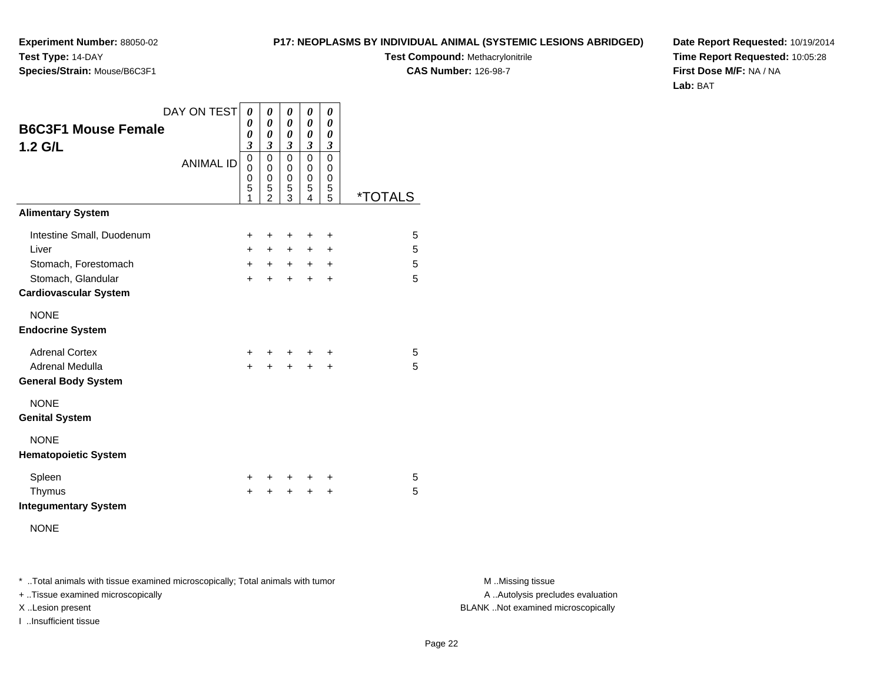**Species/Strain:** Mouse/B6C3F1

**Experiment Number:** 88050-02

**Test Type:** 14-DAY

**Test Compound:** Methacrylonitrile**CAS Number:** 126-98-7

**Date Report Requested:** 10/19/2014**Time Report Requested:** 10:05:28**First Dose M/F:** NA / NA**Lab:** BAT

| <b>B6C3F1 Mouse Female</b><br>1.2 G/L                                                                            | DAY ON TEST<br><b>ANIMAL ID</b> | 0<br>0<br>0<br>3<br>$\mathbf 0$<br>$\Omega$<br>0<br>5<br>1 | 0<br>0<br>0<br>3<br>0<br>$\mathbf 0$<br>0<br>5<br>$\bar{2}$ | 0<br>0<br>0<br>3<br>0<br>$\mathbf 0$<br>0<br>5<br>3 | 0<br>$\boldsymbol{\theta}$<br>0<br>3<br>$\mathbf 0$<br>$\mathbf 0$<br>0<br>5<br>4 | 0<br>$\theta$<br>0<br>3<br>0<br>$\mathbf 0$<br>0<br>5<br>5 | <i><b>*TOTALS</b></i> |
|------------------------------------------------------------------------------------------------------------------|---------------------------------|------------------------------------------------------------|-------------------------------------------------------------|-----------------------------------------------------|-----------------------------------------------------------------------------------|------------------------------------------------------------|-----------------------|
| <b>Alimentary System</b>                                                                                         |                                 |                                                            |                                                             |                                                     |                                                                                   |                                                            |                       |
| Intestine Small, Duodenum<br>Liver<br>Stomach, Forestomach<br>Stomach, Glandular<br><b>Cardiovascular System</b> |                                 | $\ddot{}$<br>$+$<br>$+$<br>$+$                             | ÷<br>$+$<br>$+$<br>$\ddot{}$                                | +<br>$+$<br>$+$<br>$\ddot{}$                        | $\ddot{}$<br>$+$<br>$+$<br>$+$                                                    | $\ddot{}$<br>+<br>$\ddot{}$<br>$\ddot{}$                   | 5<br>5<br>5<br>5      |
| <b>NONE</b><br><b>Endocrine System</b>                                                                           |                                 |                                                            |                                                             |                                                     |                                                                                   |                                                            |                       |
| <b>Adrenal Cortex</b><br>Adrenal Medulla<br><b>General Body System</b>                                           |                                 | $+$<br>$\ddot{}$                                           | $+$ $-$<br>$\ddot{}$                                        | $\pm$<br>$\ddot{}$                                  | $\pm$<br>$+$                                                                      | ÷<br>$\ddot{}$                                             | 5<br>5                |
| <b>NONE</b><br><b>Genital System</b>                                                                             |                                 |                                                            |                                                             |                                                     |                                                                                   |                                                            |                       |
| <b>NONE</b><br><b>Hematopoietic System</b>                                                                       |                                 |                                                            |                                                             |                                                     |                                                                                   |                                                            |                       |
| Spleen<br>Thymus<br><b>Integumentary System</b>                                                                  |                                 | +<br>$\ddot{}$                                             | ٠<br>+                                                      | +<br>$\ddot{}$                                      | +<br>$\ddot{}$                                                                    | +<br>$\ddot{}$                                             | 5<br>5                |

NONE

\* ..Total animals with tissue examined microscopically; Total animals with tumor **M** . Missing tissue M ..Missing tissue

+ ..Tissue examined microscopically

I ..Insufficient tissue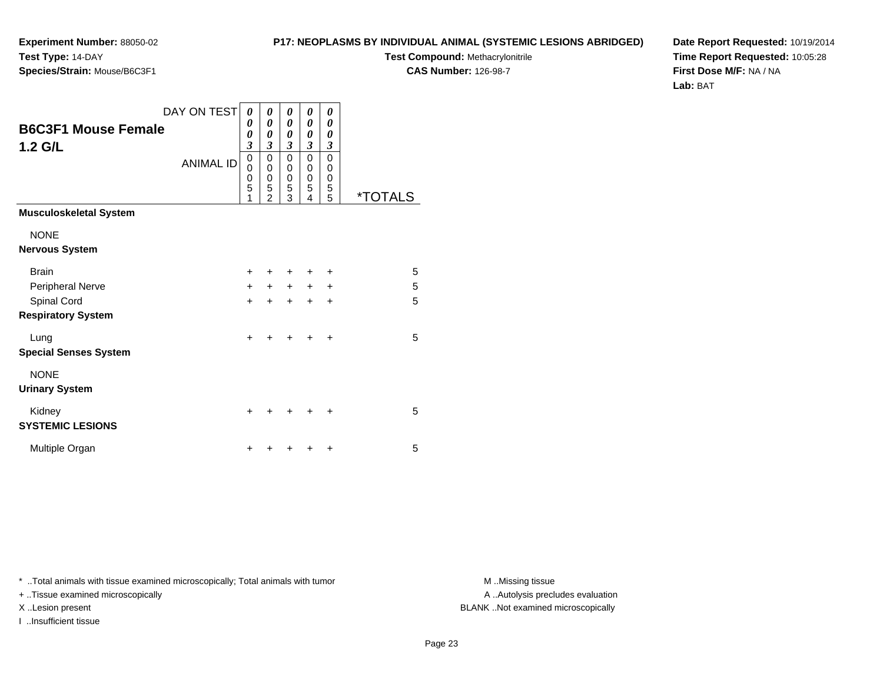**Test Compound:** Methacrylonitrile

**CAS Number:** 126-98-7

**Date Report Requested:** 10/19/2014**Time Report Requested:** 10:05:28**First Dose M/F:** NA / NA**Lab:** BAT

|                                          | DAY ON TEST      | 0                                                     | 0                                                                         | 0                                    | 0                                          | 0                                           |                       |
|------------------------------------------|------------------|-------------------------------------------------------|---------------------------------------------------------------------------|--------------------------------------|--------------------------------------------|---------------------------------------------|-----------------------|
| <b>B6C3F1 Mouse Female</b><br>1.2 G/L    |                  | 0<br>$\boldsymbol{\theta}$<br>$\overline{\mathbf{3}}$ | $\boldsymbol{\theta}$<br>$\boldsymbol{\theta}$<br>$\overline{\mathbf{3}}$ | 0<br>0<br>3                          | 0<br>0<br>$\mathfrak{z}$                   | 0<br>0<br>3                                 |                       |
|                                          | <b>ANIMAL ID</b> | $\mathbf 0$<br>0<br>0<br>5<br>1                       | $\mathbf 0$<br>$\mathbf 0$<br>$\mathbf 0$<br>$\frac{5}{2}$                | 0<br>0<br>$\boldsymbol{0}$<br>5<br>3 | 0<br>0<br>$\pmb{0}$<br>$\overline{5}$<br>4 | 0<br>0<br>$\boldsymbol{0}$<br>$\frac{5}{5}$ | <i><b>*TOTALS</b></i> |
| Musculoskeletal System                   |                  |                                                       |                                                                           |                                      |                                            |                                             |                       |
| <b>NONE</b><br>Nervous System            |                  |                                                       |                                                                           |                                      |                                            |                                             |                       |
| <b>Brain</b><br>Peripheral Nerve         |                  | $\ddot{}$<br>$\ddot{}$                                | +<br>$\ddot{}$                                                            | ٠<br>$\ddot{}$                       | $\ddot{}$                                  | +<br>+                                      | 5<br>5                |
| Spinal Cord<br><b>Respiratory System</b> |                  | $\ddot{}$                                             | $\ddot{}$                                                                 | $+$                                  | $+$                                        | $\ddot{}$                                   | 5                     |
| Lung<br><b>Special Senses System</b>     |                  | $\ddot{}$                                             | ٠                                                                         |                                      |                                            | +                                           | 5                     |
| <b>NONE</b><br><b>Urinary System</b>     |                  |                                                       |                                                                           |                                      |                                            |                                             |                       |
| Kidney<br><b>SYSTEMIC LESIONS</b>        |                  | +                                                     |                                                                           |                                      |                                            |                                             | 5                     |
| Multiple Organ                           |                  | +                                                     |                                                                           |                                      |                                            | +                                           | 5                     |

\* ..Total animals with tissue examined microscopically; Total animals with tumor **M** . Missing tissue M ..Missing tissue

+ ..Tissue examined microscopically

**Experiment Number:** 88050-02

**Species/Strain:** Mouse/B6C3F1

**Test Type:** 14-DAY

I ..Insufficient tissue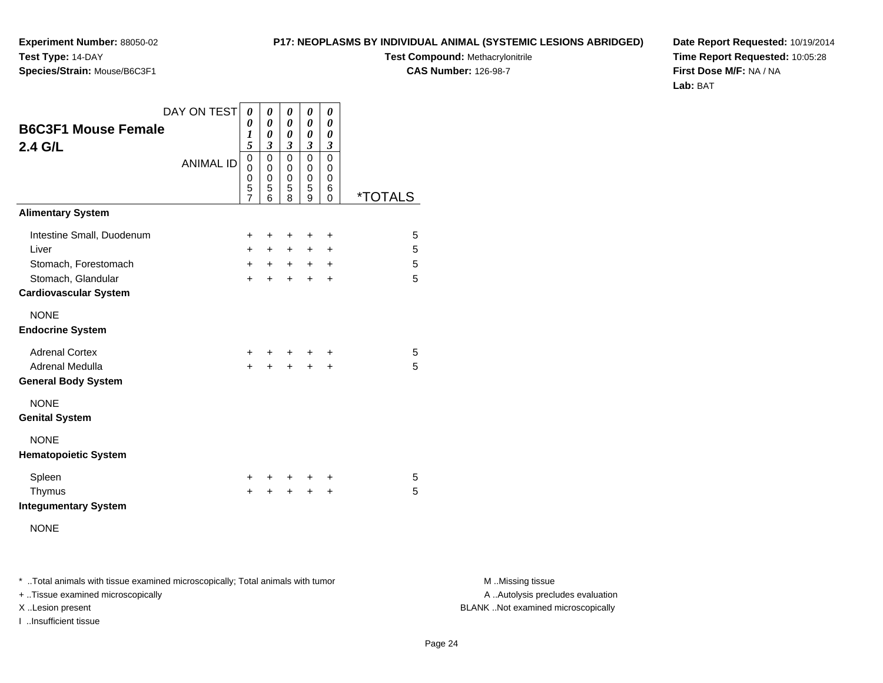**Test Compound:** Methacrylonitrile

**CAS Number:** 126-98-7

**Date Report Requested:** 10/19/2014**Time Report Requested:** 10:05:28**First Dose M/F:** NA / NA**Lab:** BAT

|                                                                        | DAY ON TEST      | 0                                  | 0                                         | 0                                         | 0                                         | 0                                                |                       |
|------------------------------------------------------------------------|------------------|------------------------------------|-------------------------------------------|-------------------------------------------|-------------------------------------------|--------------------------------------------------|-----------------------|
| <b>B6C3F1 Mouse Female</b><br>2.4 G/L                                  |                  | 0<br>1<br>5                        | 0<br>0<br>$\overline{\mathbf{3}}$         | 0<br>0<br>$\overline{\mathbf{3}}$         | 0<br>0<br>3                               | 0<br>0<br>3                                      |                       |
|                                                                        | <b>ANIMAL ID</b> | 0<br>0<br>0<br>5<br>$\overline{7}$ | $\mathbf 0$<br>0<br>$\mathbf 0$<br>5<br>6 | $\mathbf 0$<br>0<br>$\mathbf 0$<br>5<br>8 | $\mathbf 0$<br>0<br>$\mathbf 0$<br>5<br>9 | $\mathbf 0$<br>0<br>$\mathbf 0$<br>6<br>$\Omega$ | <i><b>*TOTALS</b></i> |
| <b>Alimentary System</b>                                               |                  |                                    |                                           |                                           |                                           |                                                  |                       |
| Intestine Small, Duodenum<br>Liver<br>Stomach, Forestomach             |                  | $\ddot{}$<br>$+$<br>$+$            | +<br>$+$<br>$+$                           | +<br>$+$<br>$+$                           | +<br>$+$<br>$+$                           | $\ddot{}$<br>$\ddot{}$<br>$\ddot{}$              | 5<br>5<br>5           |
| Stomach, Glandular<br><b>Cardiovascular System</b>                     |                  | $+$                                | $\pm$                                     | $\ddot{}$                                 | $\ddot{}$                                 | $\pm$                                            | 5                     |
| <b>NONE</b><br><b>Endocrine System</b>                                 |                  |                                    |                                           |                                           |                                           |                                                  |                       |
| <b>Adrenal Cortex</b><br>Adrenal Medulla<br><b>General Body System</b> |                  | $+$<br>$+$                         | $+$                                       |                                           | $+$ $+$                                   | $\ddot{}$<br>$\ddot{}$                           | 5<br>5                |
| <b>NONE</b><br><b>Genital System</b>                                   |                  |                                    |                                           |                                           |                                           |                                                  |                       |
| <b>NONE</b><br><b>Hematopoietic System</b>                             |                  |                                    |                                           |                                           |                                           |                                                  |                       |
| Spleen<br>Thymus<br><b>Integumentary System</b>                        |                  | $+$<br>$\ddot{}$                   | $^+$<br>+                                 | $\pm$<br>+                                | +<br>$\ddot{}$                            | +<br>$\ddot{}$                                   | 5<br>5                |
| <b>NONE</b>                                                            |                  |                                    |                                           |                                           |                                           |                                                  |                       |

\* ..Total animals with tissue examined microscopically; Total animals with tumor **M** . Missing tissue M ..Missing tissue

+ ..Tissue examined microscopically

**Experiment Number:** 88050-02

**Species/Strain:** Mouse/B6C3F1

**Test Type:** 14-DAY

I ..Insufficient tissue